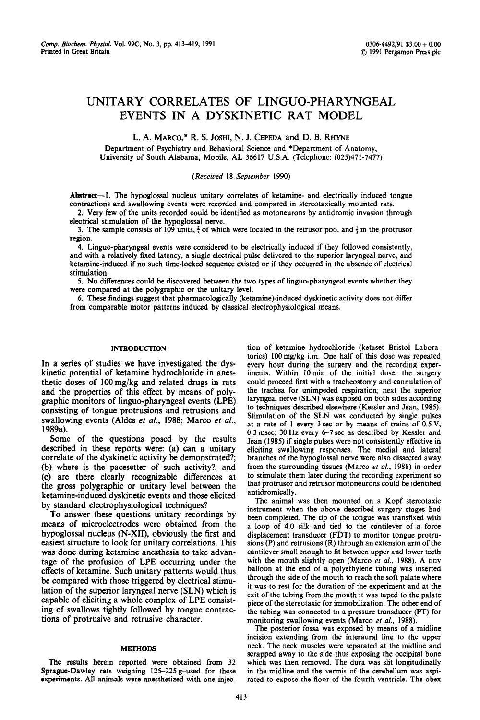# UNITARY CORRELATES OF LINGUO-PHARYNGEAL EVENTS IN A DYSKINETIC RAT MODEL

L. A. MARCO,\* R. S. JOSHI, N. J. CEPEDA and D. B. RHYNE

Department of Psychiatry and Behavioral Science and \*Department of Anatomy, University of South Alabama, Mobile, AL 36617 U.S.A. (Telephone: (025)471-7477)

# (Received 18 *September* 1990)

Abstract—1. The hypoglossal nucleus unitary correlates of ketamine- and electrically induced tongue contractions and swallowing events were recorded and compared in stereotaxically mounted rats.

2. Very few of the units recorded could be identified as motoneurons by antidromic invasion through electrical stimulation of the hypoglossal nerve.

3. The sample consists of 109 units,  $\frac{2}{3}$  of which were located in the retrusor pool and  $\frac{1}{3}$  in the protrusor region.

4. Linguo-pharyngeal events were considered to be electrically induced if they followed consistently, and with a relatively fixed latency, a single electrical pulse delivered to the superior laryngeal nerve, and ketamine-induced if no such time-locked sequence existed or if they occurred in the absence of electrical stimulation.

5. No differences could be discovered between the two types of linguo-pharyngeal events whether they were compared at the polygraphic or the unitary level.

6. These findings suggest that pharmacologically (ketamine)-induced dyskinetic activity does not differ from comparable motor patterns induced by classical electrophysiological means.

#### **INTRODUCTION**

In a series of studies we have investigated the dyskinetic potential of ketamine hydrochloride in anesthetic doses of 100 mg/kg and related drugs in rats and the properties of this effect by means of polygraphic monitors of linguo-pharyngeal events (LPE) consisting of tongue protrusions and retrusions and swallowing events (Aldes et *al., 1988;* Marco et al., 1989a).

Some of the questions posed by the results described in these reports were: (a) can a unitary correlate of the dyskinetic activity be demonstrated?; (b) where is the pacesetter of such activity?; and (c) are there clearly recognizable differences at the gross polygraphic or unitary level between the ketamine-induced dyskinetic events and those elicited by standard electrophysiological techniques?

To answer these questions unitary recordings by means of microelectrodes were obtained from the hypoglossal nucleus (N-XII), obviously the first and easiest structure to look for unitary correlations. This was done during ketamine anesthesia to take advantage of the profusion of LPE occurring under the effects of ketamine. Such unitary patterns would thus be compared with those triggered by electrical stimulation of the superior laryngeal nerve (SLN) which is capable of eliciting a whole complex of LPE consisting of swallows tightly followed by tongue contractions of protrusive and retrusive character.

# METHODS

The results herein reported were obtained from 32 Sprague-Dawley rats weighing 125-225 g-used for these experiments. All animals were anesthetized with one injection of ketamine hydrochloride (ketaset Bristol Laboratories) lOOmg/kg i.m. One half of this dose was repeated every hour during the surgery and the recording experiments. Within 10min of the initial dose, the surgery could proceed first with a tracheostomy and cannulation of the trachea for unimpeded respiration; next the *superior*  laryngeal nerve (SLN) was exposed on both sides according to techniques described elsewhere (Kessler and Jean, 1985). Stimulation of the SLN was conducted by single pulses at a rate of 1 every 3 sec or by means of trains of 0.5 V, 0.3 msec; 30 Hz every 6-7 set as described by Kessler and Jean (1985) if single pulses were not consistently effective in eliciting swallowing responses. The medial and lateral branches of the hypoglossal nerve were also dissected away from the surrounding tissues (Marco et *al.,* 1988) in order to stimulate them later during the recording experiment so that protrusor and retrusor motoneurons could be identified antidromically.

The animal was then mounted on a Kopf stereotaxic instrument when the above described surgery stages had been completed. The tip of the tongue was transfixed with a loop of 4.0 silk and tied to the cantilever of a force displacement transducer (FDT) to monitor tongue protrusions (P) and retrusions (R) through an extension arm of the cantilever small enough to fit between upper and lower teeth with the mouth slightly open (Marco et *al.,* 1988). A tiny balloon at the end of a polyethylene tubing was inserted through the side of the mouth to reach the soft palate where it was to rest for the duration of the experiment and at the exit of the tubing from the mouth it was taped to the palate piece of the stereotaxic for immobilization. The other end of the tubing was connected to a pressure transducer (PT) for monitoring swallowing events (Marco et al., 1988).

The posterior fossa was exposed by means of a midline incision extending from the interaural line to the upper neck. The neck muscles were separated at the midline and scrapped away to the side thus exposing the occipital bone which was then removed. The dura was slit longitudinally in the midline and the vermis of the cerebellum was aspirated to expose the floor of the fourth ventricle. The obex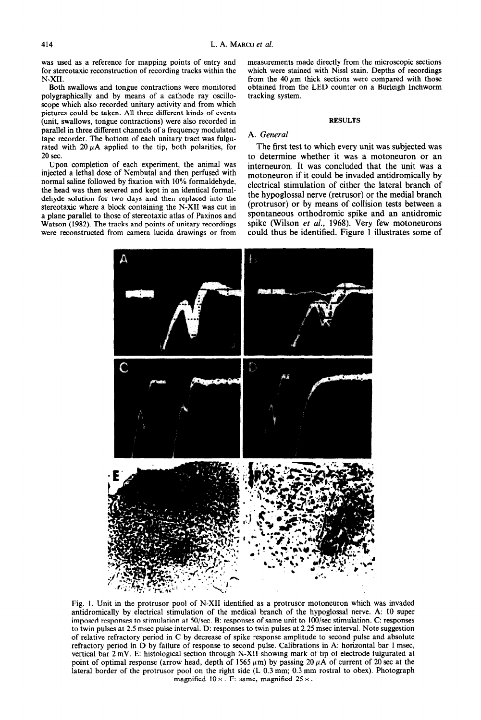was used as a reference for mapping points of entry and for stereotaxic reconstruction of recording tracks within the N-XII.

Both swallows and tongue contractions were monitored polygraphically and by means of a cathode ray oscilloscope which also recorded unitary activity and from which pictures could be taken. All three different kinds of events (unit, swallows, tongue contractions) were also recorded in parallel in three different channels of a frequency modulated tape recorder. The bottom of each unitary tract was fulgurated with  $20 \mu A$  applied to the tip, both polarities, for 20 sec.

Upon completion of each experiment, the animal was injected a lethal dose of Nembutal and then perfused with normal saline followed by fixation with 10% formaldehyde, the head was then severed and kept in an identical formaldehyde solution for two days and then replaced into the stereotaxic where a block containing the N-XII was cut in a plane parallel to those of stereotaxic atlas of Paxinos and Watson (1982). The tracks and points of unitary recordings were reconstructed from camera lucida drawings or from measurements made directly from the microscopic sections which were stained with Nissl stain. Depths of recordings from the 40  $\mu$ m thick sections were compared with those obtained from the LED counter on a Burleigh Inchworm tracking system.

# RESULTS

# A. *General*

The first test to which every unit was subjected was to determine whether it was a motoneuron or an interneuron. It was concluded that the unit was a motoneuron if it could be invaded antidromically by electrical stimulation of either the lateral branch of the hypoglossal nerve (retrusor) or the medial branch (protrusor) or by means of collision tests between a spontaneous orthodromic spike and an antidromic spike (Wilson et *al.,* 1968). Very few motoneurons could thus be identified. Figure 1 illustrates some of



Fig. 1. Unit in the protrusor pool of N-XII identified as a protrusor motoneuron which was invaded antidromically by electrical stimulation of the medical branch of the hypoglossal nerve. A: 10 super imposed responses to stimulation at 50/sec. B: responses of same unit to 100/sec stimulation. C: responses to twin pulses at 2.5 msec pulse interval. D: responses to twin pulses at 2.25 msec interval. Note suggestion of relative refractory period in C by decrease of spike response amplitude to second pulse and absolute refractory period in D by failure of response to second pulse. Calibrations in A: horizontal bar 1 msec, vertical bar 2 mV. E: histological section through N-XII showing mark of tip of electrode fulgurated at point of optimal response (arrow head, depth of 1565  $\mu$ m) by passing 20  $\mu$ A of current of 20 sec at the lateral border of the protrusor pool on the right side (L 0.3 mm; 0.3 mm rostra1 to obex). Photograph magnified  $10 \times$ . F: same, magnified  $25 \times$ .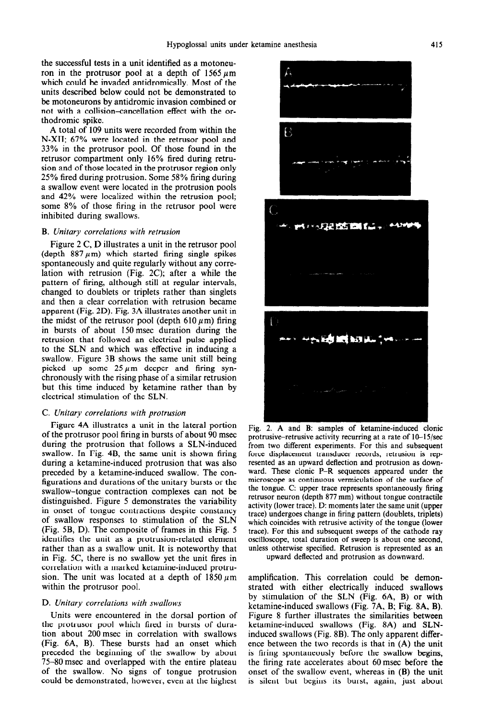the successful tests in a unit identified as a motoneuron in the protrusor pool at a depth of  $1565 \mu m$ which could be invaded antidromically. Most of the units described below could not be demonstrated to be motoneurons by antidromic invasion combined or not with a collision-cancellation effect with the orthodromic spike.

A total of 109 units were recorded from within the N-XII; 67% were located in the retrusor pool and 33% in the protrusor pool. Of those found in the retrusor compartment only 16% fired during retrusion and of those located in the protrusor region only 25% fired during protrusion. Some 58% firing during a swallow event were located in the protrusion pools and 42% were localized within the retrusion pool; some 8% of those firing in the retrusor pool were inhibited during swallows.

#### B. *Unitary correlations with retrusion*

Figure 2 C, D illustrates a unit in the retrusor pool (depth  $887 \mu m$ ) which started firing single spikes spontaneously and quite regularly without any correlation with retrusion (Fig. 2C); after a while the pattern of firing, although still at regular intervals, changed to doublets or triplets rather than singlets and then a clear correlation with retrusion became apparent (Fig. 2D). Fig. 3A illustrates another unit in the midst of the retrusor pool (depth 610  $\mu$ m) firing in bursts of about 150msec duration during the retrusion that followed an electrical pulse applied to the SLN and which was effective in inducing a swallow. Figure 3B shows the same unit still being picked up some  $25 \mu m$  deeper and firing synchronously with the rising phase of a similar retrusion but this time induced by ketamine rather than by electrical stimulation of the SLN.

## C. *Unitary correlations with protrusion*

Figure 4A illustrates a unit in the lateral portion of the protrusor pool firing in bursts of about 90 msec during the protrusion that follows a SLN-induced swallow. In Fig. 4B, the same unit is shown firing during a ketamine-induced protrusion that was also preceded by a ketamine-induced swallow. The configurations and durations of the unitary bursts or the swallow-tongue contraction complexes can not be distinguished. Figure 5 demonstrates the variability in onset of tongue contractions despite constancy of swallow responses to stimulation of the SLN (Fig. 5B, D). The composite of frames in this Fig. 5 identifies the unit as a protrusion-related element rather than as a swallow unit. It is noteworthy that in Fig. 5C, there is no swallow yet the unit fires in correlation with a marked ketamine-induced protrusion. The unit was located at a depth of  $1850 \,\mu m$ within the protrusor pool.

#### D. *Unitary correlations with swallows*

Units were encountered in the dorsal portion of the protrusor pool which fired in bursts of duration about 200 msec in correlation with swallows (Fig. 6A, B). These bursts had an onset which preceded the beginning of the swallow by about 75-80 msec and overlapped with the entire plateau of the swallow. No signs of tongue protrusion could be demonstrated, however, even at the highest



Fig. 2. A and B: samples of ketamine-induced clonic protrusive-retrusive activity recurring at a rate of IO-15/see from two different experiments. For this and subsequent force displacement transducer records, retrusion is represented as an upward deflection and protrusion as downward. These clonic P-R sequences appeared under the microscope as continuous vermiculation of the surface of the tongue. C: upper trace represents spontaneously firing retrusor neuron (depth 877 mm) without tongue contractile activity (lower trace). D: moments later the same unit (upper trace) undergoes change in firing pattern (doublets, triplets) which coincides with retrusive activity of the tongue (lower trace). For this and subsequent sweeps of the cathode ray oscilloscope, total duration of sweep is about one second, unless otherwise specified. Retrusion is represented as an upward deflected and protrusion as downward.

amplification. This correlation could be demonstrated with either electrically induced swallows by stimulation of the SLN (Fig. 6A, B) or with ketamine-induced swallows (Fig. 7A, B; Fig. 8A, B). Figure 8 further illustrates the similarities between ketamine-induced swallows (Fig. 8A) and SLNinduced swallows (Fig. 8B). The only apparent difference between the two records is that in (A) the unit is firing spontaneously before the swallow begins, the firing rate accelerates about 60msec before the onset of the swallow event, whereas in (B) the unit is silent but begins its burst, again, just about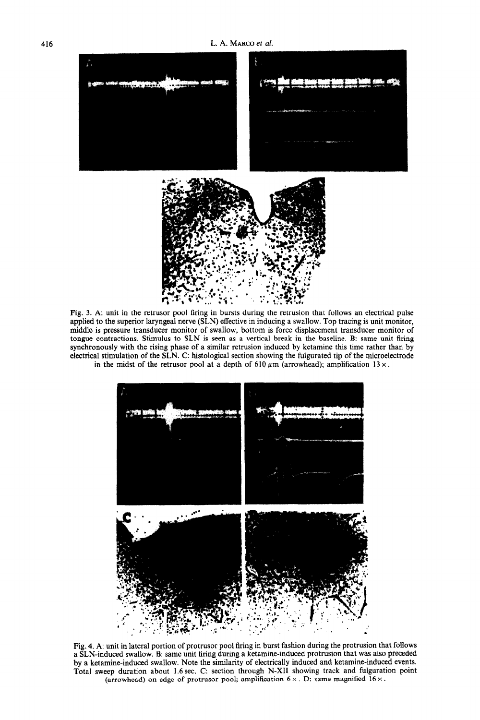

Fig. 3. A: unit in the retrusor pool firing in bursts during the retrusion that follows an electrical pulse applied to the superior laryngeal nerve (SLN) effective in inducing a swallow. Top tracing is unit monitor, middle is pressure transducer monitor of swallow, bottom is force displacement transducer monitor of tongue contractions. Stimulus to SLN is seen as a vertical break in the baseline. B: same unit firing synchronously with the rising phase of a similar retrusion induced by ketamine this time rather than by electrical stimulation of the SLN. C: histological section showing the fulgurated tip of the microelectrode in the midst of the retrusor pool at a depth of 610  $\mu$ m (arrowhead); amplification 13  $\times$ .



Fig. 4. A: unit in lateral portion of protrusor pool firing in burst fashion during the protrusion that follows a SLN-induced swallow. B: same unit firing during a ketamine-induced protrusion that was also preceded by a ketamine-induced swallow. Note the similarity of electrically induced and ketamine-induced events. Total sweep duration about 1.6 sec. C: section through N-XII showing track and fulguration point (arrowhead) on edge of protrusor pool; amplification  $6 \times$ . D: same magnified  $16 \times$ .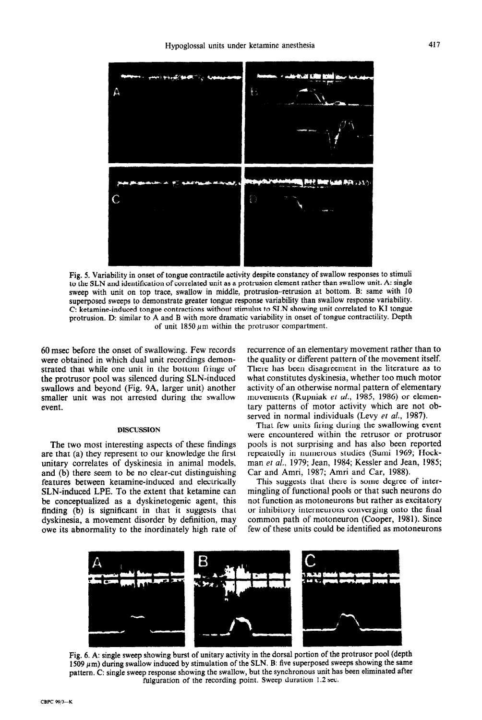

Fig. 5. Variability in onset of tongue contractile activity despite constancy of swallow responses to stimuli to the SLN and identification of correlated unit as a protrusion element rather than swallow unit. A: single sweep with unit on top trace, swallow in middle, protrusion-retrusion at bottom. B: same with 10 superposed sweeps to demonstrate greater tongue response variability than swallow response variability. C: ketamine-induced tongue contractions without stimulus to SLN showing unit correlated to KI tongue protrusion. D: similar to A and B with more dramatic variability in onset of tongue contractility. Depth of unit  $1850 \mu m$  within the protrusor compartment.

60 msec before the onset of swallowing. Few records were obtained in which dual unit recordings demonstrated that while one unit in the bottom fringe of the protrusor pool was silenced during SLN-induced swallows and beyond (Fig. 9A, larger unit) another smaller unit was not arrested during the swallow event.

## DISCUSSION

The two most interesting aspects of these findings are that (a) they represent to our knowledge the first unitary correlates of dyskinesia in animal models, and (b) there seem to be no clear-cut distinguishing features between ketamine-induced and electricaily SLN-induced LPE. To the extent that ketamine can be conceptualized as a dyskinetogenic agent, this finding (b) is significant in that it suggests that dyskinesia, a movement disorder by definition, may owe its abnormality to the inordinately high rate of

recurrence of an elementary movement rather than to the quality or different pattern of the movement itself. There has been disagreement in the literature as to what constitutes dyskinesia, whether too much motor activity of an otherwise normal pattern of elementary movements (Rupniak et *al.,* 1985, 1986) or elementary patterns of motor activity which are not observed in normal individuals (Levy et *al.,* 1987).

That few units firing during the swallowing event were encountered within the retrusor or protrusor pools is not surprising and has also been reported repeatedly in numerous studies (Sumi 1969; Nockman *et al.,* 1979; Jean, 1984; Kessler and Jean, 1985; Car and Amri, 1987; Amri and Car, 1988).

This suggests that there is some degree of intermingling of functional pools or that such neurons do not function as motoneurons but rather as excitatory or inhibitory interneurons converging onto the final common path of motoneuron (Cooper, 1981). Since few of these units could be identified as motoneurons



Fig. 6. A: single sweep showing burst of unitary activity in the dorsal portion of the protrusor pool (depth  $1509 \mu m$ ) during swallow induced by stimulation of the SLN. B: five superposed sweeps showing the same pattern. C: single sweep response showing the swallow, but the synchronous unit has been eliminated after fulguration of the recording point. Sweep duration 1.2 sec.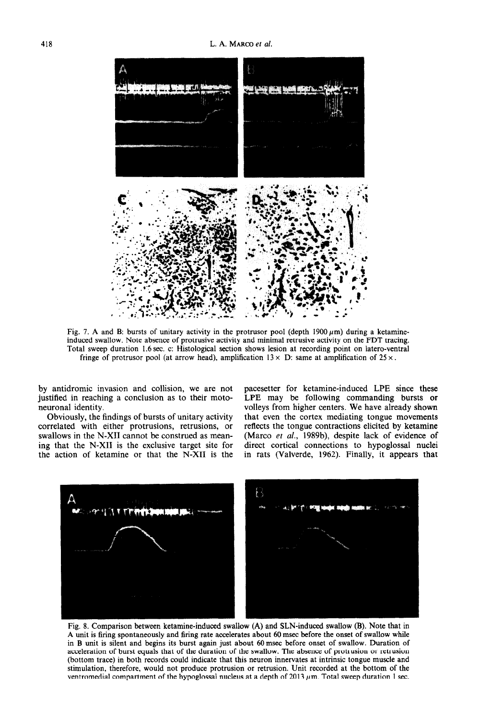

Fig. 7. A and B: bursts of unitary activity in the protrusor pool (depth 1900  $\mu$ m) during a ketamineinduced swallow. Note absence of protrusive activity and minimal retrusive activity on the FDT tracing. Total sweep duration 1.6sec. c: Histological section shows lesion at recording point on latero-ventral fringe of protrusor pool (at arrow head), amplification  $13 \times D$ : same at amplification of  $25 \times$ .

by antidromic invasion and collision, we are not justified in reaching a conclusion as to their motoneuronal identity.

Obviously, the findings of bursts of unitary activity correlated with either protrusions, retrusions, or swallows in the N-XII cannot be construed as meaning that the N-XII is the exclusive target site for the action of ketamine or that the N-XII is the

pacesetter for ketamine-induced LPE since these LPE may be following commanding bursts or volleys from higher centers. We have already shown that even the cortex mediating tongue movements reflects the tongue contractions elicited by ketamine (Marco et al., 1989b), despite lack of evidence of direct cortical connections to hypoglossal nuclei in rats (Valverde, 1962). Finally, it appears that



Fig. 8. Comparison between ketamine-induced swallow (A) and SLN-induced swallow (B). Note that in A unit is firing spontaneously and firing rate accelerates about 60 msec before the onset of swallow while in B unit is silent and begins its burst again just about 60msec before onset of swallow. Duration of acceleration of burst equals that of the duration of the swallow. The absence of protrusion or retrusion (bottom trace) in both records could indicate that this neuron innervates at intrinsic tongue muscle and stimulation, therefore, would not produce protrusion or retrusion. Unit recorded at the bottom of the ventromedial compartment of the hypoglossal nucleus at a depth of 2013  $\mu$ m. Total sweep duration 1 sec.